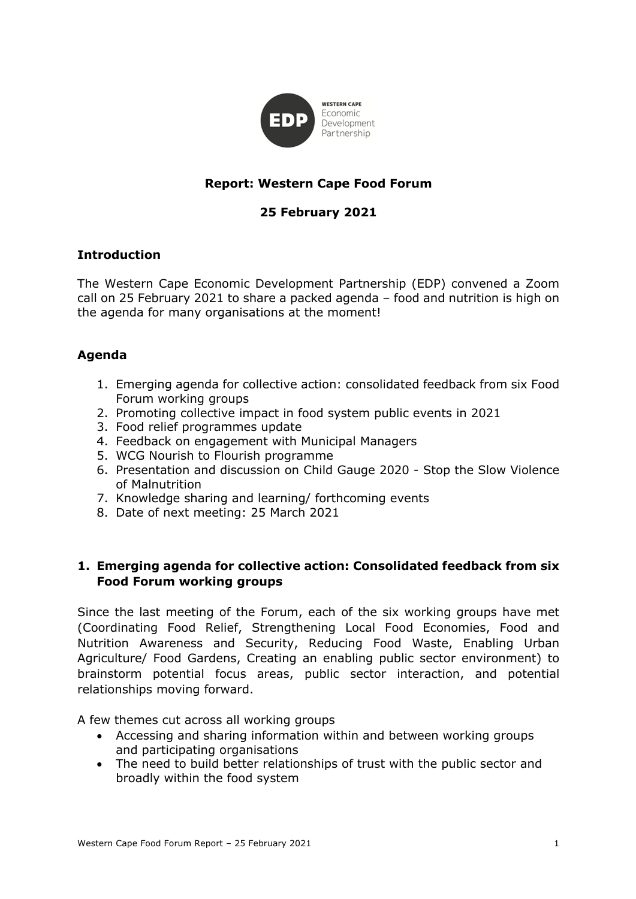

# **Report: Western Cape Food Forum**

# **25 February 2021**

#### **Introduction**

The Western Cape Economic Development Partnership (EDP) convened a Zoom call on 25 February 2021 to share a packed agenda – food and nutrition is high on the agenda for many organisations at the moment!

# **Agenda**

- 1. Emerging agenda for collective action: consolidated feedback from six Food Forum working groups
- 2. Promoting collective impact in food system public events in 2021
- 3. Food relief programmes update
- 4. Feedback on engagement with Municipal Managers
- 5. WCG Nourish to Flourish programme
- 6. Presentation and discussion on Child Gauge 2020 Stop the Slow Violence of Malnutrition
- 7. Knowledge sharing and learning/ forthcoming events
- 8. Date of next meeting: 25 March 2021

# **1. Emerging agenda for collective action: Consolidated feedback from six Food Forum working groups**

Since the last meeting of the Forum, each of the six working groups have met (Coordinating Food Relief, Strengthening Local Food Economies, Food and Nutrition Awareness and Security, Reducing Food Waste, Enabling Urban Agriculture/ Food Gardens, Creating an enabling public sector environment) to brainstorm potential focus areas, public sector interaction, and potential relationships moving forward.

A few themes cut across all working groups

- Accessing and sharing information within and between working groups and participating organisations
- The need to build better relationships of trust with the public sector and broadly within the food system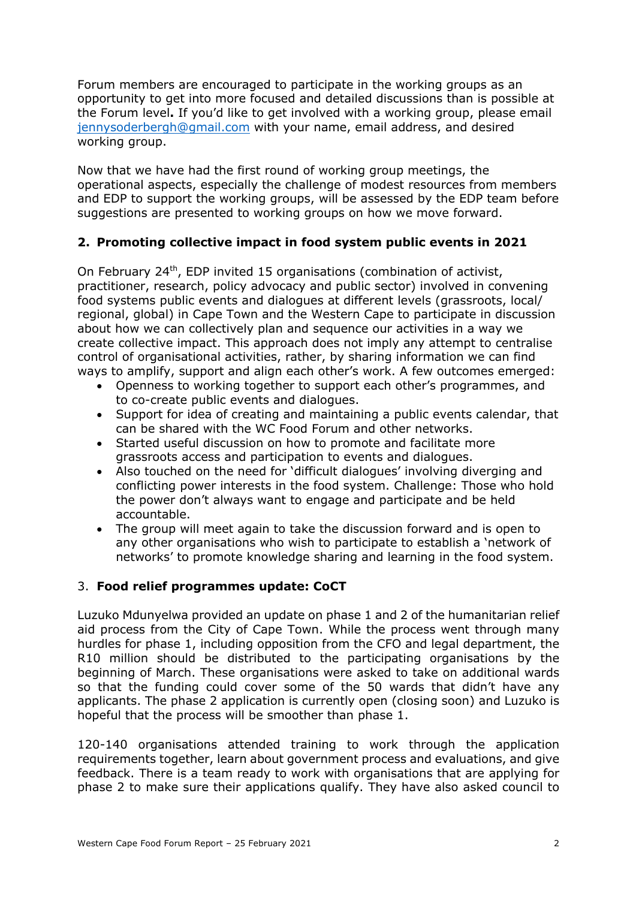Forum members are encouraged to participate in the working groups as an opportunity to get into more focused and detailed discussions than is possible at the Forum level**.** If you'd like to get involved with a working group, please email jennysoderbergh@gmail.com with your name, email address, and desired working group.

Now that we have had the first round of working group meetings, the operational aspects, especially the challenge of modest resources from members and EDP to support the working groups, will be assessed by the EDP team before suggestions are presented to working groups on how we move forward.

# **2. Promoting collective impact in food system public events in 2021**

On February 24th, EDP invited 15 organisations (combination of activist, practitioner, research, policy advocacy and public sector) involved in convening food systems public events and dialogues at different levels (grassroots, local/ regional, global) in Cape Town and the Western Cape to participate in discussion about how we can collectively plan and sequence our activities in a way we create collective impact. This approach does not imply any attempt to centralise control of organisational activities, rather, by sharing information we can find ways to amplify, support and align each other's work. A few outcomes emerged:

- Openness to working together to support each other's programmes, and to co-create public events and dialogues.
- Support for idea of creating and maintaining a public events calendar, that can be shared with the WC Food Forum and other networks.
- Started useful discussion on how to promote and facilitate more grassroots access and participation to events and dialogues.
- Also touched on the need for 'difficult dialogues' involving diverging and conflicting power interests in the food system. Challenge: Those who hold the power don't always want to engage and participate and be held accountable.
- The group will meet again to take the discussion forward and is open to any other organisations who wish to participate to establish a 'network of networks' to promote knowledge sharing and learning in the food system.

#### 3. **Food relief programmes update: CoCT**

Luzuko Mdunyelwa provided an update on phase 1 and 2 of the humanitarian relief aid process from the City of Cape Town. While the process went through many hurdles for phase 1, including opposition from the CFO and legal department, the R10 million should be distributed to the participating organisations by the beginning of March. These organisations were asked to take on additional wards so that the funding could cover some of the 50 wards that didn't have any applicants. The phase 2 application is currently open (closing soon) and Luzuko is hopeful that the process will be smoother than phase 1.

120-140 organisations attended training to work through the application requirements together, learn about government process and evaluations, and give feedback. There is a team ready to work with organisations that are applying for phase 2 to make sure their applications qualify. They have also asked council to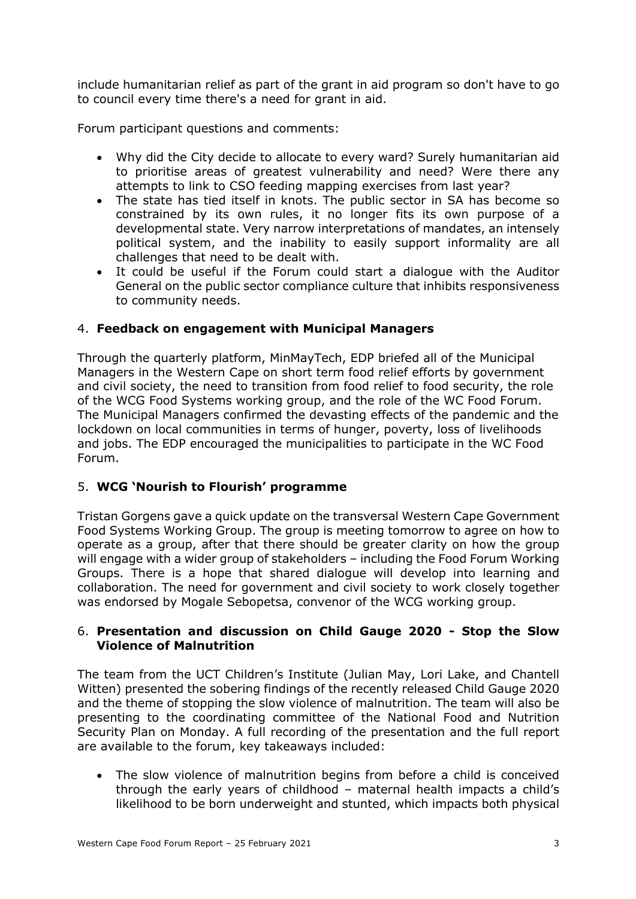include humanitarian relief as part of the grant in aid program so don't have to go to council every time there's a need for grant in aid.

Forum participant questions and comments:

- Why did the City decide to allocate to every ward? Surely humanitarian aid to prioritise areas of greatest vulnerability and need? Were there any attempts to link to CSO feeding mapping exercises from last year?
- The state has tied itself in knots. The public sector in SA has become so constrained by its own rules, it no longer fits its own purpose of a developmental state. Very narrow interpretations of mandates, an intensely political system, and the inability to easily support informality are all challenges that need to be dealt with.
- It could be useful if the Forum could start a dialogue with the Auditor General on the public sector compliance culture that inhibits responsiveness to community needs.

# 4. **Feedback on engagement with Municipal Managers**

Through the quarterly platform, MinMayTech, EDP briefed all of the Municipal Managers in the Western Cape on short term food relief efforts by government and civil society, the need to transition from food relief to food security, the role of the WCG Food Systems working group, and the role of the WC Food Forum. The Municipal Managers confirmed the devasting effects of the pandemic and the lockdown on local communities in terms of hunger, poverty, loss of livelihoods and jobs. The EDP encouraged the municipalities to participate in the WC Food Forum.

# 5. **WCG 'Nourish to Flourish' programme**

Tristan Gorgens gave a quick update on the transversal Western Cape Government Food Systems Working Group. The group is meeting tomorrow to agree on how to operate as a group, after that there should be greater clarity on how the group will engage with a wider group of stakeholders – including the Food Forum Working Groups. There is a hope that shared dialogue will develop into learning and collaboration. The need for government and civil society to work closely together was endorsed by Mogale Sebopetsa, convenor of the WCG working group.

#### 6. **Presentation and discussion on Child Gauge 2020 - Stop the Slow Violence of Malnutrition**

The team from the UCT Children's Institute (Julian May, Lori Lake, and Chantell Witten) presented the sobering findings of the recently released Child Gauge 2020 and the theme of stopping the slow violence of malnutrition. The team will also be presenting to the coordinating committee of the National Food and Nutrition Security Plan on Monday. A full recording of the presentation and the full report are available to the forum, key takeaways included:

• The slow violence of malnutrition begins from before a child is conceived through the early years of childhood – maternal health impacts a child's likelihood to be born underweight and stunted, which impacts both physical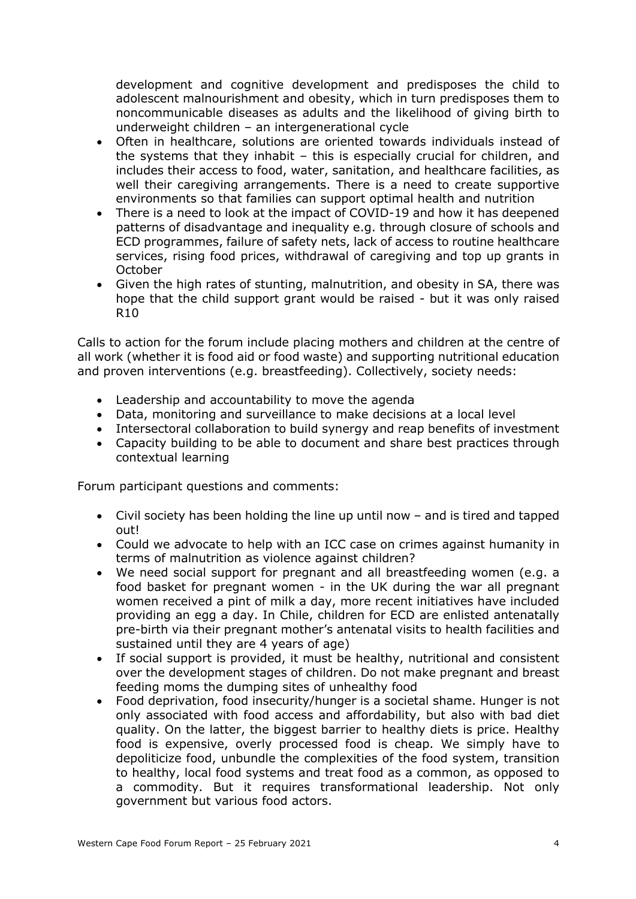development and cognitive development and predisposes the child to adolescent malnourishment and obesity, which in turn predisposes them to noncommunicable diseases as adults and the likelihood of giving birth to underweight children – an intergenerational cycle

- Often in healthcare, solutions are oriented towards individuals instead of the systems that they inhabit – this is especially crucial for children, and includes their access to food, water, sanitation, and healthcare facilities, as well their caregiving arrangements. There is a need to create supportive environments so that families can support optimal health and nutrition
- There is a need to look at the impact of COVID-19 and how it has deepened patterns of disadvantage and inequality e.g. through closure of schools and ECD programmes, failure of safety nets, lack of access to routine healthcare services, rising food prices, withdrawal of caregiving and top up grants in **October**
- Given the high rates of stunting, malnutrition, and obesity in SA, there was hope that the child support grant would be raised - but it was only raised  $R10$

Calls to action for the forum include placing mothers and children at the centre of all work (whether it is food aid or food waste) and supporting nutritional education and proven interventions (e.g. breastfeeding). Collectively, society needs:

- Leadership and accountability to move the agenda
- Data, monitoring and surveillance to make decisions at a local level
- Intersectoral collaboration to build synergy and reap benefits of investment
- Capacity building to be able to document and share best practices through contextual learning

Forum participant questions and comments:

- Civil society has been holding the line up until now and is tired and tapped out!
- Could we advocate to help with an ICC case on crimes against humanity in terms of malnutrition as violence against children?
- We need social support for pregnant and all breastfeeding women (e.g. a food basket for pregnant women - in the UK during the war all pregnant women received a pint of milk a day, more recent initiatives have included providing an egg a day. In Chile, children for ECD are enlisted antenatally pre-birth via their pregnant mother's antenatal visits to health facilities and sustained until they are 4 years of age)
- If social support is provided, it must be healthy, nutritional and consistent over the development stages of children. Do not make pregnant and breast feeding moms the dumping sites of unhealthy food
- Food deprivation, food insecurity/hunger is a societal shame. Hunger is not only associated with food access and affordability, but also with bad diet quality. On the latter, the biggest barrier to healthy diets is price. Healthy food is expensive, overly processed food is cheap. We simply have to depoliticize food, unbundle the complexities of the food system, transition to healthy, local food systems and treat food as a common, as opposed to a commodity. But it requires transformational leadership. Not only government but various food actors.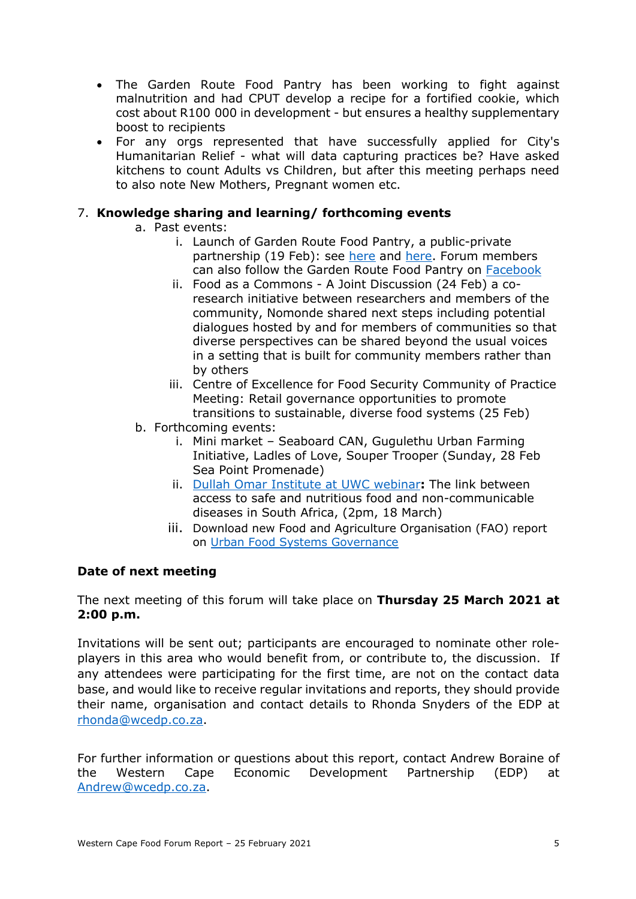- The Garden Route Food Pantry has been working to fight against malnutrition and had CPUT develop a recipe for a fortified cookie, which cost about R100 000 in development - but ensures a healthy supplementary boost to recipients
- For any orgs represented that have successfully applied for City's Humanitarian Relief - what will data capturing practices be? Have asked kitchens to count Adults vs Children, but after this meeting perhaps need to also note New Mothers, Pregnant women etc.

#### 7. **Knowledge sharing and learning/ forthcoming events**

- a. Past events:
	- i. Launch of Garden Route Food Pantry, a public-private partnership (19 Feb): see here and here. Forum members can also follow the Garden Route Food Pantry on Facebook
	- ii. Food as a Commons A Joint Discussion (24 Feb) a coresearch initiative between researchers and members of the community, Nomonde shared next steps including potential dialogues hosted by and for members of communities so that diverse perspectives can be shared beyond the usual voices in a setting that is built for community members rather than by others
	- iii. Centre of Excellence for Food Security Community of Practice Meeting: Retail governance opportunities to promote transitions to sustainable, diverse food systems (25 Feb)
- b. Forthcoming events:
	- i. Mini market Seaboard CAN, Gugulethu Urban Farming Initiative, Ladles of Love, Souper Trooper (Sunday, 28 Feb Sea Point Promenade)
	- ii. Dullah Omar Institute at UWC webinar**:** The link between access to safe and nutritious food and non-communicable diseases in South Africa, (2pm, 18 March)
	- iii. Download new Food and Agriculture Organisation (FAO) report on Urban Food Systems Governance

#### **Date of next meeting**

The next meeting of this forum will take place on **Thursday 25 March 2021 at 2:00 p.m.**

Invitations will be sent out; participants are encouraged to nominate other roleplayers in this area who would benefit from, or contribute to, the discussion. If any attendees were participating for the first time, are not on the contact data base, and would like to receive regular invitations and reports, they should provide their name, organisation and contact details to Rhonda Snyders of the EDP at rhonda@wcedp.co.za.

For further information or questions about this report, contact Andrew Boraine of the Western Cape Economic Development Partnership (EDP) at Andrew@wcedp.co.za.